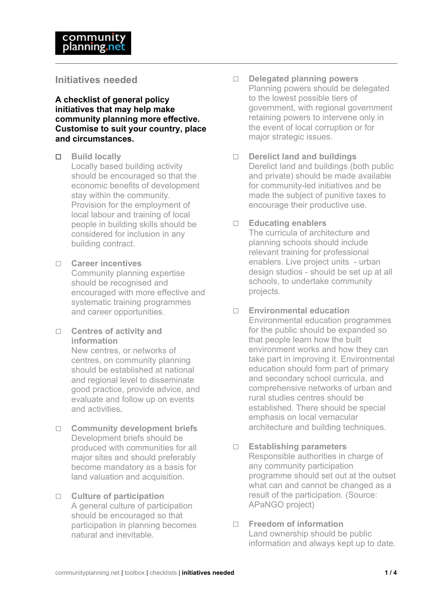# community<br>planning.net

# **Initiatives needed**

### **A checklist of general policy initiatives that may help make community planning more effective. Customise to suit your country, place and circumstances.**

**Build locally**

Locally based building activity should be encouraged so that the economic benefits of development stay within the community. Provision for the employment of local labour and training of local people in building skills should be considered for inclusion in any building contract.

 **Career incentives** Community planning expertise should be recognised and encouraged with more effective and systematic training programmes and career opportunities.

## **Centres of activity and information**

New centres, or networks of centres, on community planning should be established at national and regional level to disseminate good practice, provide advice, and evaluate and follow up on events and activities.

 **Community development briefs** Development briefs should be produced with communities for all

major sites and should preferably become mandatory as a basis for land valuation and acquisition.

**Culture of participation**

A general culture of participation should be encouraged so that participation in planning becomes natural and inevitable.

 **Delegated planning powers** Planning powers should be delegated to the lowest possible tiers of government, with regional government retaining powers to intervene only in the event of local corruption or for major strategic issues.

# **Derelict land and buildings**

Derelict land and buildings (both public and private) should be made available for community-led initiatives and be made the subject of punitive taxes to encourage their productive use.

# **Educating enablers**

The curricula of architecture and planning schools should include relevant training for professional enablers. Live project units - urban design studios - should be set up at all schools, to undertake community projects.

## **Environmental education**

Environmental education programmes for the public should be expanded so that people learn how the built environment works and how they can take part in improving it. Environmental education should form part of primary and secondary school curricula, and comprehensive networks of urban and rural studies centres should be established. There should be special emphasis on local vernacular architecture and building techniques.

 **Establishing parameters** Responsible authorities in charge of

any community participation programme should set out at the outset what can and cannot be changed as a result of the participation. (Source: APaNGO project)

# **Freedom of information**

Land ownership should be public information and always kept up to date.

communityplanning.net | toolbox | checklists | **initiatives needed** 1 / 4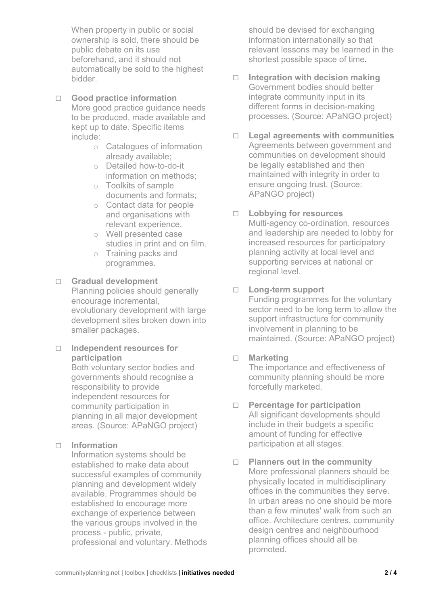communityplanning.net | toolbox | checklists | **initiatives needed 2 / 4**

When property in public or social ownership is sold, there should be public debate on its use beforehand, and it should not automatically be sold to the highest bidder.

- **Good practice information** More good practice guidance needs to be produced, made available and kept up to date. Specific items include:
	- o Catalogues of information already available;
	- o Detailed how-to-do-it information on methods;
	- o Toolkits of sample documents and formats;
	- o Contact data for people and organisations with relevant experience.
	- o Well presented case studies in print and on film.
	- o Training packs and programmes.

#### **Gradual development** Planning policies should generally

encourage incremental, evolutionary development with large development sites broken down into smaller packages.

- **Independent resources for participation** Both voluntary sector bodies and governments should recognise a responsibility to provide independent resources for community participation in planning in all major development areas. (Source: APaNGO project)
- **Information**

Information systems should be

established to make data about successful examples of community planning and development widely available. Programmes should be established to encourage more exchange of experience between the various groups involved in the process - public, private, professional and voluntary. Methods

should be devised for exchanging information internationally so that relevant lessons may be learned in the shortest possible space of time.

- **Integration with decision making** Government bodies should better integrate community input in its different forms in decision-making processes. (Source: APaNGO project)
- **Legal agreements with communities** Agreements between government and communities on development should be legally established and then maintained with integrity in order to ensure ongoing trust. (Source: APaNGO project)
- **Lobbying for resources** Multi-agency co-ordination, resources and leadership are needed to lobby for increased resources for participatory planning activity at local level and supporting services at national or regional level.

# **Long-term support**

Funding programmes for the voluntary sector need to be long term to allow the support infrastructure for community involvement in planning to be maintained. (Source: APaNGO project)

# **Marketing**

The importance and effectiveness of community planning should be more forcefully marketed.

# **Percentage for participation**

All significant developments should include in their budgets a specific amount of funding for effective participation at all stages.

 **Planners out in the community** More professional planners should be physically located in multidisciplinary offices in the communities they serve. In urban areas no one should be more than a few minutes' walk from such an office. Architecture centres, community design centres and neighbourhood planning offices should all be promoted.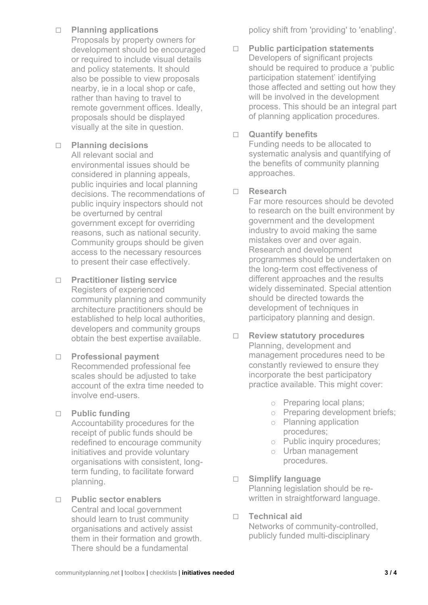communityplanning.net | toolbox | checklists | **initiatives needed 3 / 4**

# **Planning applications**

Proposals by property owners for development should be encouraged or required to include visual details and policy statements. It should also be possible to view proposals nearby, ie in a local shop or cafe, rather than having to travel to remote government offices. Ideally, proposals should be displayed visually at the site in question.

# **Planning decisions**

All relevant social and environmental issues should be considered in planning appeals, public inquiries and local planning decisions. The recommendations of public inquiry inspectors should not be overturned by central government except for overriding reasons, such as national security. Community groups should be given access to the necessary resources to present their case effectively.

- **Practitioner listing service** Registers of experienced community planning and community architecture practitioners should be established to help local authorities, developers and community groups obtain the best expertise available.
- **Professional payment** Recommended professional fee scales should be adjusted to take account of the extra time needed to involve end-users.
- **Public funding** Accountability procedures for the receipt of public funds should be redefined to encourage community initiatives and provide voluntary

organisations with consistent, longterm funding, to facilitate forward planning.

 **Public sector enablers** Central and local government should learn to trust community organisations and actively assist them in their formation and growth. There should be a fundamental

policy shift from 'providing' to 'enabling'.

 **Public participation statements** Developers of significant projects should be required to produce a 'public participation statement' identifying those affected and setting out how they will be involved in the development process. This should be an integral part of planning application procedures.

# **Quantify benefits**

Funding needs to be allocated to systematic analysis and quantifying of the benefits of community planning approaches.

## **Research**

Far more resources should be devoted to research on the built environment by government and the development industry to avoid making the same mistakes over and over again. Research and development programmes should be undertaken on the long-term cost effectiveness of different approaches and the results widely disseminated. Special attention should be directed towards the development of techniques in participatory planning and design.

- **Review statutory procedures** Planning, development and management procedures need to be constantly reviewed to ensure they incorporate the best participatory practice available. This might cover:
	- o Preparing local plans;
	- o Preparing development briefs;
	- o Planning application procedures;
	- o Public inquiry procedures;
	- o Urban management

procedures.

- **Simplify language** Planning legislation should be rewritten in straightforward language.
- **Technical aid** Networks of community-controlled, publicly funded multi-disciplinary